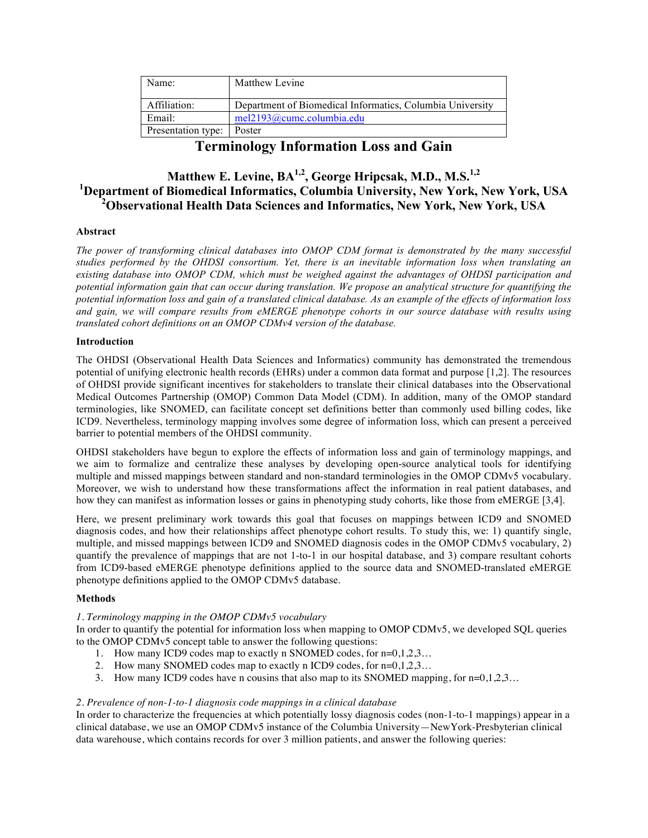| Name:              | Matthew Levine                                            |  |  |
|--------------------|-----------------------------------------------------------|--|--|
| Affiliation:       | Department of Biomedical Informatics, Columbia University |  |  |
| Email:             | mel2193@cumc. column <i>in</i> .edu                       |  |  |
| Presentation type: | Poster                                                    |  |  |
|                    | <u>т п</u>                                                |  |  |

# **Terminology Information Loss and Gain**

# Matthew E. Levine, BA<sup>1,2</sup>, George Hripcsak, M.D., M.S.<sup>1,2</sup> **1 Department of Biomedical Informatics, Columbia University, New York, New York, USA 2 Observational Health Data Sciences and Informatics, New York, New York, USA**

## **Abstract**

*The power of transforming clinical databases into OMOP CDM format is demonstrated by the many successful studies performed by the OHDSI consortium. Yet, there is an inevitable information loss when translating an existing database into OMOP CDM, which must be weighed against the advantages of OHDSI participation and potential information gain that can occur during translation. We propose an analytical structure for quantifying the potential information loss and gain of a translated clinical database. As an example of the effects of information loss and gain, we will compare results from eMERGE phenotype cohorts in our source database with results using translated cohort definitions on an OMOP CDMv4 version of the database.*

## **Introduction**

The OHDSI (Observational Health Data Sciences and Informatics) community has demonstrated the tremendous potential of unifying electronic health records (EHRs) under a common data format and purpose [1,2]. The resources of OHDSI provide significant incentives for stakeholders to translate their clinical databases into the Observational Medical Outcomes Partnership (OMOP) Common Data Model (CDM). In addition, many of the OMOP standard terminologies, like SNOMED, can facilitate concept set definitions better than commonly used billing codes, like ICD9. Nevertheless, terminology mapping involves some degree of information loss, which can present a perceived barrier to potential members of the OHDSI community.

OHDSI stakeholders have begun to explore the effects of information loss and gain of terminology mappings, and we aim to formalize and centralize these analyses by developing open-source analytical tools for identifying multiple and missed mappings between standard and non-standard terminologies in the OMOP CDMv5 vocabulary. Moreover, we wish to understand how these transformations affect the information in real patient databases, and how they can manifest as information losses or gains in phenotyping study cohorts, like those from eMERGE [3,4].

Here, we present preliminary work towards this goal that focuses on mappings between ICD9 and SNOMED diagnosis codes, and how their relationships affect phenotype cohort results. To study this, we: 1) quantify single, multiple, and missed mappings between ICD9 and SNOMED diagnosis codes in the OMOP CDMv5 vocabulary, 2) quantify the prevalence of mappings that are not 1-to-1 in our hospital database, and 3) compare resultant cohorts from ICD9-based eMERGE phenotype definitions applied to the source data and SNOMED-translated eMERGE phenotype definitions applied to the OMOP CDMv5 database.

## **Methods**

## *1. Terminology mapping in the OMOP CDMv5 vocabulary*

In order to quantify the potential for information loss when mapping to OMOP CDMv5, we developed SQL queries to the OMOP CDMv5 concept table to answer the following questions:

- 1. How many ICD9 codes map to exactly n SNOMED codes, for n=0,1,2,3...
- 2. How many SNOMED codes map to exactly n ICD9 codes, for  $n=0,1,2,3...$
- 3. How many ICD9 codes have n cousins that also map to its SNOMED mapping, for n=0,1,2,3…

## *2. Prevalence of non-1-to-1 diagnosis code mappings in a clinical database*

In order to characterize the frequencies at which potentially lossy diagnosis codes (non-1-to-1 mappings) appear in a clinical database, we use an OMOP CDMv5 instance of the Columbia University—NewYork-Presbyterian clinical data warehouse, which contains records for over 3 million patients, and answer the following queries: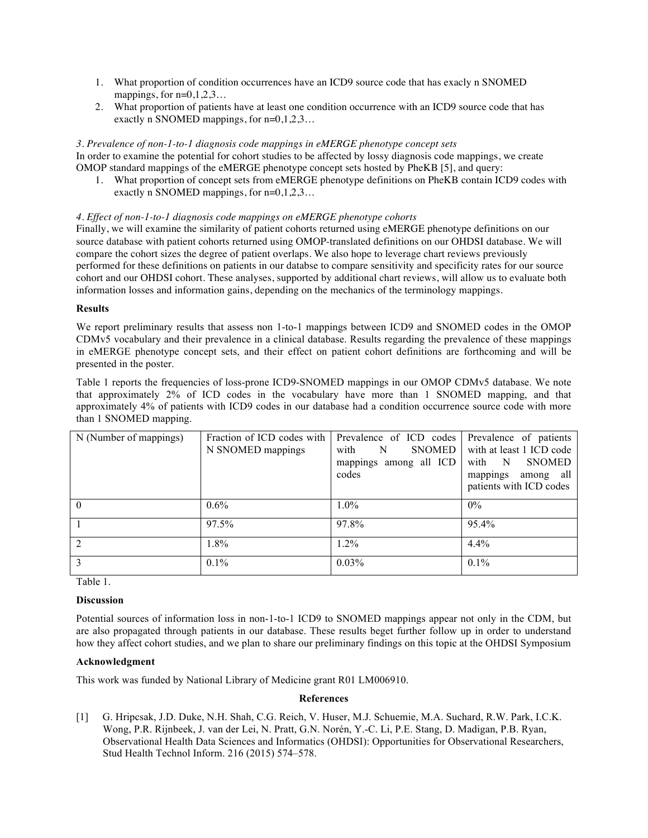- 1. What proportion of condition occurrences have an ICD9 source code that has exacly n SNOMED mappings, for  $n=0,1,2,3...$
- 2. What proportion of patients have at least one condition occurrence with an ICD9 source code that has exactly n SNOMED mappings, for  $n=0,1,2,3...$

*3. Prevalence of non-1-to-1 diagnosis code mappings in eMERGE phenotype concept sets* In order to examine the potential for cohort studies to be affected by lossy diagnosis code mappings, we create OMOP standard mappings of the eMERGE phenotype concept sets hosted by PheKB [5], and query:

1. What proportion of concept sets from eMERGE phenotype definitions on PheKB contain ICD9 codes with exactly n SNOMED mappings, for n=0,1,2,3...

## *4. Effect of non-1-to-1 diagnosis code mappings on eMERGE phenotype cohorts*

Finally, we will examine the similarity of patient cohorts returned using eMERGE phenotype definitions on our source database with patient cohorts returned using OMOP-translated definitions on our OHDSI database. We will compare the cohort sizes the degree of patient overlaps. We also hope to leverage chart reviews previously performed for these definitions on patients in our databse to compare sensitivity and specificity rates for our source cohort and our OHDSI cohort. These analyses, supported by additional chart reviews, will allow us to evaluate both information losses and information gains, depending on the mechanics of the terminology mappings.

#### **Results**

We report preliminary results that assess non 1-to-1 mappings between ICD9 and SNOMED codes in the OMOP CDMv5 vocabulary and their prevalence in a clinical database. Results regarding the prevalence of these mappings in eMERGE phenotype concept sets, and their effect on patient cohort definitions are forthcoming and will be presented in the poster.

Table 1 reports the frequencies of loss-prone ICD9-SNOMED mappings in our OMOP CDMv5 database. We note that approximately 2% of ICD codes in the vocabulary have more than 1 SNOMED mapping, and that approximately 4% of patients with ICD9 codes in our database had a condition occurrence source code with more than 1 SNOMED mapping.

| N (Number of mappings) | Fraction of ICD codes with<br>N SNOMED mappings | Prevalence of ICD codes<br><b>SNOMED</b><br>with<br>N<br>mappings among all ICD<br>codes | Prevalence of patients<br>with at least 1 ICD code<br>N SNOMED<br>with<br>mappings among all<br>patients with ICD codes |
|------------------------|-------------------------------------------------|------------------------------------------------------------------------------------------|-------------------------------------------------------------------------------------------------------------------------|
| $\theta$               | $0.6\%$                                         | $1.0\%$                                                                                  | $0\%$                                                                                                                   |
|                        | 97.5%                                           | 97.8%                                                                                    | 95.4%                                                                                                                   |
| $\overline{2}$         | $1.8\%$                                         | $1.2\%$                                                                                  | $4.4\%$                                                                                                                 |
| $\mathcal{E}$          | $0.1\%$                                         | $0.03\%$                                                                                 | $0.1\%$                                                                                                                 |

Table 1.

#### **Discussion**

Potential sources of information loss in non-1-to-1 ICD9 to SNOMED mappings appear not only in the CDM, but are also propagated through patients in our database. These results beget further follow up in order to understand how they affect cohort studies, and we plan to share our preliminary findings on this topic at the OHDSI Symposium

#### **Acknowledgment**

This work was funded by National Library of Medicine grant R01 LM006910.

#### **References**

[1] G. Hripcsak, J.D. Duke, N.H. Shah, C.G. Reich, V. Huser, M.J. Schuemie, M.A. Suchard, R.W. Park, I.C.K. Wong, P.R. Rijnbeek, J. van der Lei, N. Pratt, G.N. Norén, Y.-C. Li, P.E. Stang, D. Madigan, P.B. Ryan, Observational Health Data Sciences and Informatics (OHDSI): Opportunities for Observational Researchers, Stud Health Technol Inform. 216 (2015) 574–578.